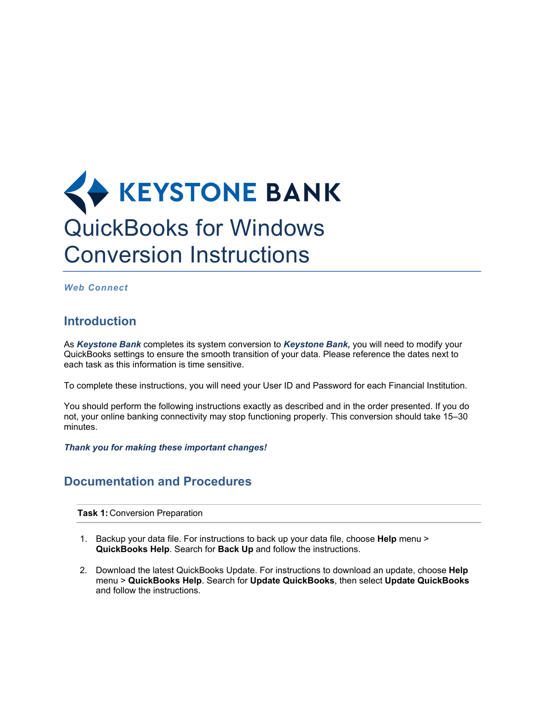

*Web Connect*

## **Introduction**

As *Keystone Bank* completes its system conversion to *Keystone Bank,* you will need to modify your QuickBooks settings to ensure the smooth transition of your data. Please reference the dates next to each task as this information is time sensitive.

To complete these instructions, you will need your User ID and Password for each Financial Institution.

You should perform the following instructions exactly as described and in the order presented. If you do not, your online banking connectivity may stop functioning properly. This conversion should take 15–30 minutes.

*Thank you for making these important changes!*

## **Documentation and Procedures**

**Task 1:** Conversion Preparation

- 1. Backup your data file. For instructions to back up your data file, choose **Help** menu > **QuickBooks Help**. Search for **Back Up** and follow the instructions.
- 2. Download the latest QuickBooks Update. For instructions to download an update, choose **Help** menu > **QuickBooks Help**. Search for **Update QuickBooks**, then select **Update QuickBooks** and follow the instructions.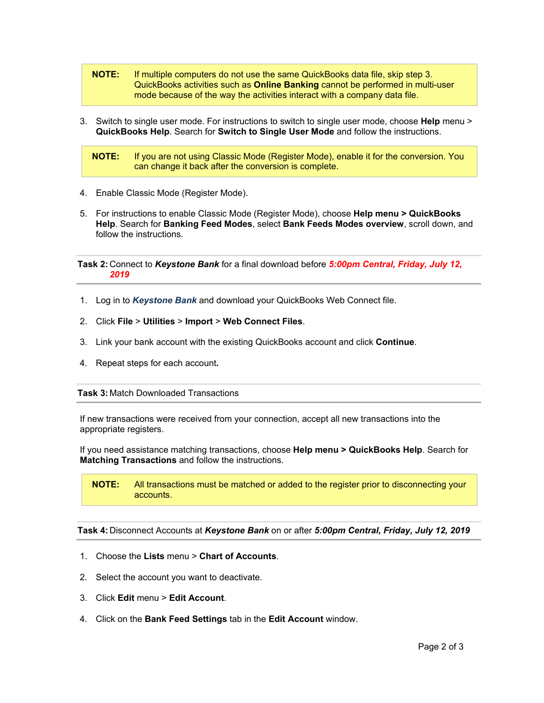- **NOTE:** If multiple computers do not use the same QuickBooks data file, skip step 3. QuickBooks activities such as **Online Banking** cannot be performed in multi-user mode because of the way the activities interact with a company data file.
- 3. Switch to single user mode. For instructions to switch to single user mode, choose **Help** menu > **QuickBooks Help**. Search for **Switch to Single User Mode** and follow the instructions.

**NOTE:** If you are not using Classic Mode (Register Mode), enable it for the conversion. You can change it back after the conversion is complete.

- 4. Enable Classic Mode (Register Mode).
- 5. For instructions to enable Classic Mode (Register Mode), choose **Help menu > QuickBooks Help**. Search for **Banking Feed Modes**, select **Bank Feeds Modes overview**, scroll down, and follow the instructions.

**Task 2:** Connect to *Keystone Bank* for a final download before *5:00pm Central, Friday, July 12, 2019*

- 1. Log in to *Keystone Bank* and download your QuickBooks Web Connect file.
- 2. Click **File** > **Utilities** > **Import** > **Web Connect Files**.
- 3. Link your bank account with the existing QuickBooks account and click **Continue**.
- 4. Repeat steps for each account*.*

## **Task 3:** Match Downloaded Transactions

If new transactions were received from your connection, accept all new transactions into the appropriate registers.

If you need assistance matching transactions, choose **Help menu > QuickBooks Help**. Search for **Matching Transactions** and follow the instructions.

**NOTE:** All transactions must be matched or added to the register prior to disconnecting your accounts.

**Task 4:** Disconnect Accounts at *Keystone Bank* on or after *5:00pm Central, Friday, July 12, 2019*

- 1. Choose the **Lists** menu > **Chart of Accounts**.
- 2. Select the account you want to deactivate.
- 3. Click **Edit** menu > **Edit Account**.
- 4. Click on the **Bank Feed Settings** tab in the **Edit Account** window.